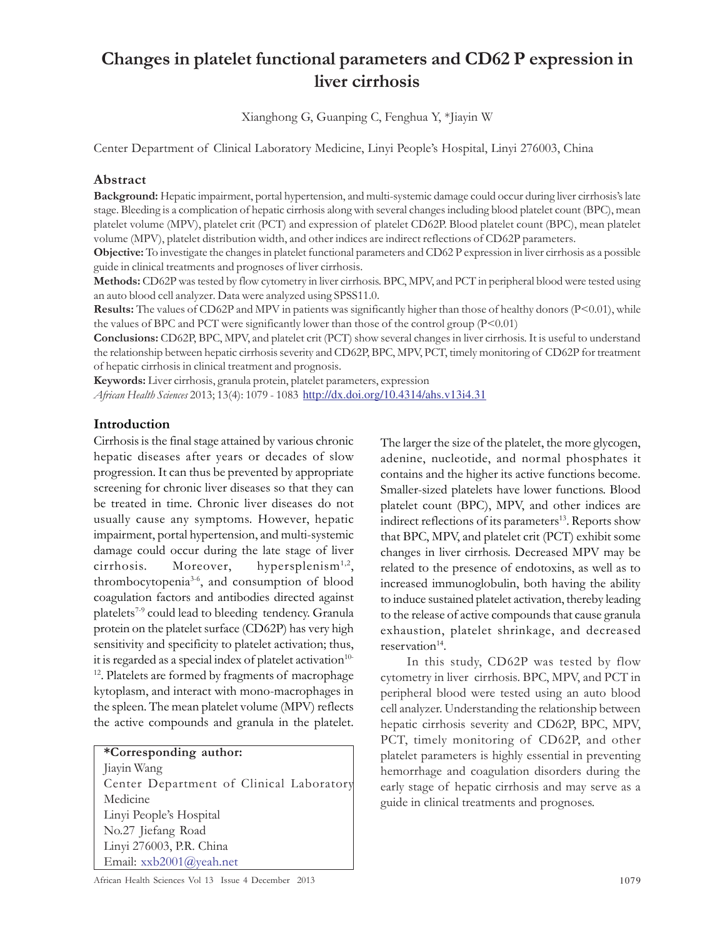# Changes in platelet functional parameters and CD62 P expression in liver cirrhosis

Xianghong G, Guanping C, Fenghua Y, \*Jiayin W

Center Department of Clinical Laboratory Medicine, Linyi People's Hospital, Linyi 276003, China

#### Abstract

Background: Hepatic impairment, portal hypertension, and multi-systemic damage could occur during liver cirrhosis's late stage. Bleeding is a complication of hepatic cirrhosis along with several changes including blood platelet count (BPC), mean platelet volume (MPV), platelet crit (PCT) and expression of platelet CD62P. Blood platelet count (BPC), mean platelet volume (MPV), platelet distribution width, and other indices are indirect reflections of CD62P parameters.

Objective: To investigate the changes in platelet functional parameters and CD62 P expression in liver cirrhosis as a possible guide in clinical treatments and prognoses of liver cirrhosis.

Methods: CD62P was tested by flow cytometry in liver cirrhosis. BPC, MPV, and PCT in peripheral blood were tested using an auto blood cell analyzer. Data were analyzed using SPSS11.0.

Results: The values of CD62P and MPV in patients was significantly higher than those of healthy donors (P<0.01), while the values of BPC and PCT were significantly lower than those of the control group (P<0.01)

Conclusions: CD62P, BPC, MPV, and platelet crit (PCT) show several changes in liver cirrhosis. It is useful to understand the relationship between hepatic cirrhosis severity and CD62P, BPC, MPV, PCT, timely monitoring of CD62P for treatment of hepatic cirrhosis in clinical treatment and prognosis.

Keywords: Liver cirrhosis, granula protein, platelet parameters, expression

African Health Sciences 2013; 13(4): 1079 - 1083 http://dx.doi.org/10.4314/ahs.v13i4.31

#### Introduction

Cirrhosis is the final stage attained by various chronic hepatic diseases after years or decades of slow progression. It can thus be prevented by appropriate screening for chronic liver diseases so that they can be treated in time. Chronic liver diseases do not usually cause any symptoms. However, hepatic impairment, portal hypertension, and multi-systemic damage could occur during the late stage of liver cirrhosis. Moreover, hypersplenism<sup>1,2</sup>, thrombocytopenia3-6, and consumption of blood coagulation factors and antibodies directed against platelets<sup>7-9</sup> could lead to bleeding tendency. Granula protein on the platelet surface (CD62P) has very high sensitivity and specificity to platelet activation; thus, it is regarded as a special index of platelet activation $10$ -<sup>12</sup>. Platelets are formed by fragments of macrophage kytoplasm, and interact with mono-macrophages in the spleen. The mean platelet volume (MPV) reflects the active compounds and granula in the platelet.

\*Corresponding author:

Jiayin Wang Center Department of Clinical Laboratory Medicine Linyi People's Hospital No.27 Jiefang Road Linyi 276003, P.R. China Email: xxb2001@yeah.net

The larger the size of the platelet, the more glycogen, adenine, nucleotide, and normal phosphates it contains and the higher its active functions become. Smaller-sized platelets have lower functions. Blood platelet count (BPC), MPV, and other indices are indirect reflections of its parameters<sup>13</sup>. Reports show that BPC, MPV, and platelet crit (PCT) exhibit some changes in liver cirrhosis. Decreased MPV may be related to the presence of endotoxins, as well as to increased immunoglobulin, both having the ability to induce sustained platelet activation, thereby leading to the release of active compounds that cause granula exhaustion, platelet shrinkage, and decreased reservation<sup>14</sup>.

In this study, CD62P was tested by flow cytometry in liver cirrhosis. BPC, MPV, and PCT in peripheral blood were tested using an auto blood cell analyzer. Understanding the relationship between hepatic cirrhosis severity and CD62P, BPC, MPV, PCT, timely monitoring of CD62P, and other platelet parameters is highly essential in preventing hemorrhage and coagulation disorders during the early stage of hepatic cirrhosis and may serve as a guide in clinical treatments and prognoses.

African Health Sciences Vol 13 Issue 4 December 2013 1079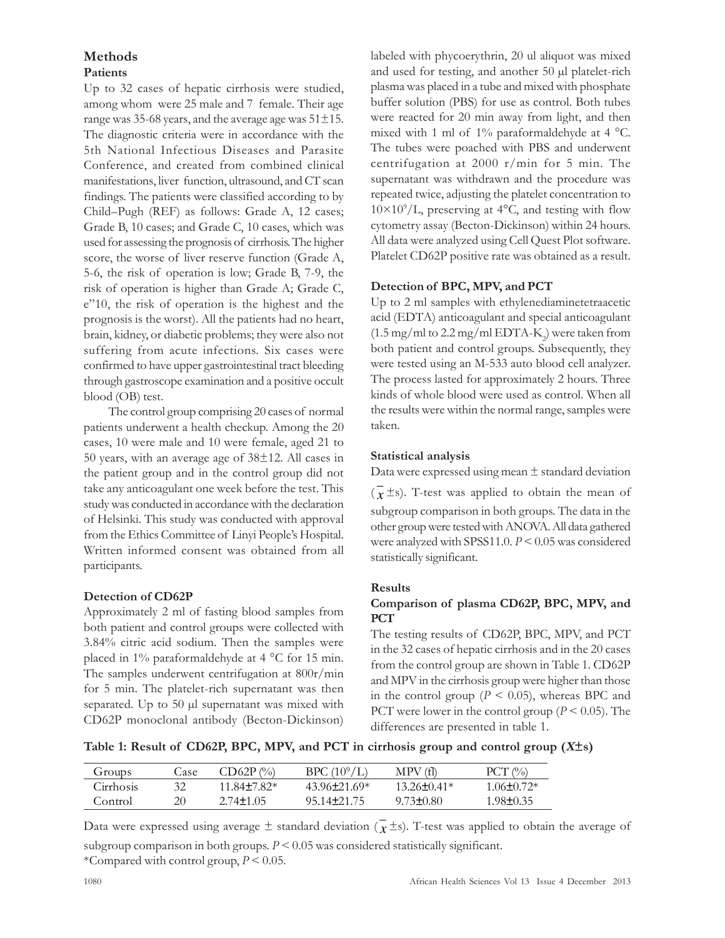# Methods

## Patients

Up to 32 cases of hepatic cirrhosis were studied, among whom were 25 male and 7 female. Their age range was 35-68 years, and the average age was  $51\pm15$ . The diagnostic criteria were in accordance with the 5th National Infectious Diseases and Parasite Conference, and created from combined clinical manifestations, liver function, ultrasound, and CT scan findings. The patients were classified according to by Child–Pugh (REF) as follows: Grade A, 12 cases; Grade B, 10 cases; and Grade C, 10 cases, which was used for assessing the prognosis of cirrhosis. The higher score, the worse of liver reserve function (Grade A, 5-6, the risk of operation is low; Grade B, 7-9, the risk of operation is higher than Grade A; Grade C, e"10, the risk of operation is the highest and the prognosis is the worst). All the patients had no heart, brain, kidney, or diabetic problems; they were also not suffering from acute infections. Six cases were confirmed to have upper gastrointestinal tract bleeding through gastroscope examination and a positive occult blood (OB) test.

The control group comprising 20 cases of normal patients underwent a health checkup. Among the 20 cases, 10 were male and 10 were female, aged 21 to 50 years, with an average age of 38±12. All cases in the patient group and in the control group did not take any anticoagulant one week before the test. This study was conducted in accordance with the declaration of Helsinki. This study was conducted with approval from the Ethics Committee of Linyi People's Hospital. Written informed consent was obtained from all participants.

## Detection of CD62P

Approximately 2 ml of fasting blood samples from both patient and control groups were collected with 3.84% citric acid sodium. Then the samples were placed in 1% paraformaldehyde at 4 °C for 15 min. The samples underwent centrifugation at 800r/min for 5 min. The platelet-rich supernatant was then separated. Up to 50 µl supernatant was mixed with CD62P monoclonal antibody (Becton-Dickinson) labeled with phycoerythrin, 20 ul aliquot was mixed and used for testing, and another 50 µl platelet-rich plasma was placed in a tube and mixed with phosphate buffer solution (PBS) for use as control. Both tubes were reacted for 20 min away from light, and then mixed with 1 ml of 1% paraformaldehyde at 4 °C. The tubes were poached with PBS and underwent centrifugation at 2000 r/min for 5 min. The supernatant was withdrawn and the procedure was repeated twice, adjusting the platelet concentration to  $10\times10^{9}/L$ , preserving at 4°C, and testing with flow cytometry assay (Becton-Dickinson) within 24 hours. All data were analyzed using Cell Quest Plot software. Platelet CD62P positive rate was obtained as a result.

## Detection of BPC, MPV, and PCT

Up to 2 ml samples with ethylenediaminetetraacetic acid (EDTA) anticoagulant and special anticoagulant  $(1.5 \,\mathrm{mg}/\mathrm{ml}$  to  $2.2 \,\mathrm{mg}/\mathrm{ml}$  EDTA-K<sub>2</sub>) were taken from both patient and control groups. Subsequently, they were tested using an M-533 auto blood cell analyzer. The process lasted for approximately 2 hours. Three kinds of whole blood were used as control. When all the results were within the normal range, samples were taken.

## Statistical analysis

Data were expressed using mean  $\pm$  standard deviation  $(\bar{x} \pm s)$ . T-test was applied to obtain the mean of subgroup comparison in both groups. The data in the other group were tested with ANOVA.All data gathered were analyzed with SPSS11.0.  $P \le 0.05$  was considered statistically significant.

#### Results

#### Comparison of plasma CD62P, BPC, MPV, and PCT

The testing results of CD62P, BPC, MPV, and PCT in the 32 cases of hepatic cirrhosis and in the 20 cases from the control group are shown in Table 1. CD62P and MPV in the cirrhosis group were higher than those in the control group ( $P < 0.05$ ), whereas BPC and PCT were lower in the control group ( $P \le 0.05$ ). The differences are presented in table 1.

Table 1: Result of CD62P, BPC, MPV, and PCT in cirrhosis group and control group  $(X\pm s)$ 

| Groups    | Case | $CD62P$ (%)     | BPC $(10^9/L)$   | (f)<br>MPV      | $PCT \, (°/0)$  |
|-----------|------|-----------------|------------------|-----------------|-----------------|
| Cirrhosis |      | 11 $84+782*$    | $43.96 + 21.69*$ | $13.26 + 0.41*$ | $1.06 + 0.72*$  |
| Control   | 20   | $2.74 \pm 1.05$ | 95.14±21.75      | $9.73\pm 0.80$  | $1.98 \pm 0.35$ |

Data were expressed using average  $\pm$  standard deviation ( $\bar{x}$  ±s). T-test was applied to obtain the average of subgroup comparison in both groups.  $P \leq 0.05$  was considered statistically significant.

\*Compared with control group,  $P \le 0.05$ .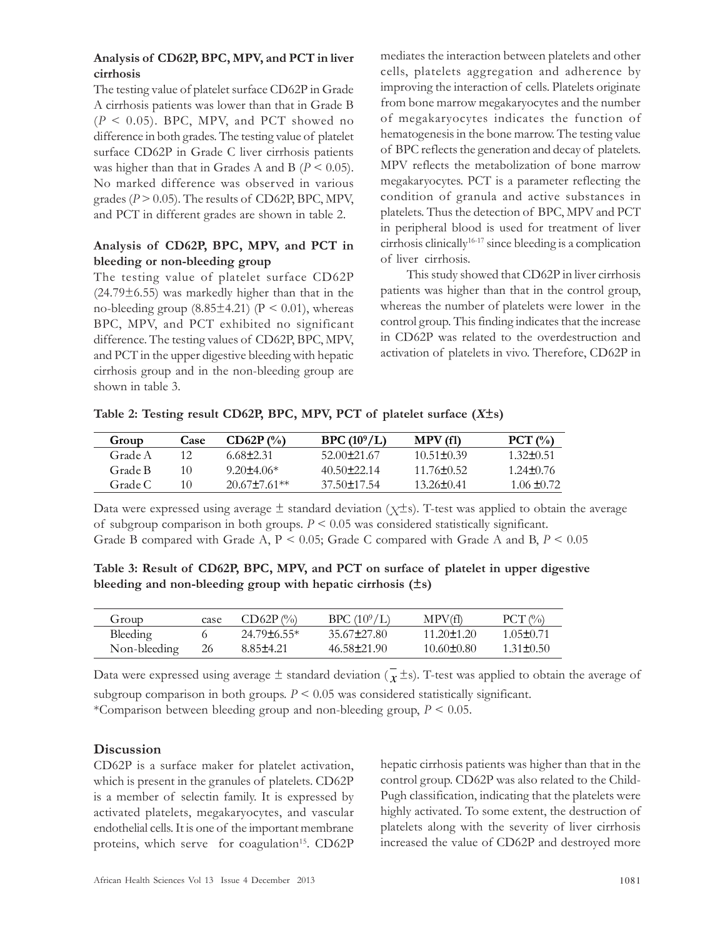## Analysis of CD62P, BPC, MPV, and PCT in liver cirrhosis

The testing value of platelet surface CD62P in Grade A cirrhosis patients was lower than that in Grade B  $(P < 0.05)$ . BPC, MPV, and PCT showed no difference in both grades. The testing value of platelet surface CD62P in Grade C liver cirrhosis patients was higher than that in Grades A and B ( $P < 0.05$ ). No marked difference was observed in various grades ( $P > 0.05$ ). The results of CD62P, BPC, MPV, and PCT in different grades are shown in table 2.

## Analysis of CD62P, BPC, MPV, and PCT in bleeding or non-bleeding group

The testing value of platelet surface CD62P  $(24.79 \pm 6.55)$  was markedly higher than that in the no-bleeding group  $(8.85\pm4.21)$  (P < 0.01), whereas BPC, MPV, and PCT exhibited no significant difference. The testing values of CD62P, BPC, MPV, and PCT in the upper digestive bleeding with hepatic cirrhosis group and in the non-bleeding group are shown in table 3.

mediates the interaction between platelets and other cells, platelets aggregation and adherence by improving the interaction of cells. Platelets originate from bone marrow megakaryocytes and the number of megakaryocytes indicates the function of hematogenesis in the bone marrow. The testing value of BPC reflects the generation and decay of platelets. MPV reflects the metabolization of bone marrow megakaryocytes. PCT is a parameter reflecting the condition of granula and active substances in platelets. Thus the detection of BPC, MPV and PCT in peripheral blood is used for treatment of liver cirrhosis clinically16-17 since bleeding is a complication of liver cirrhosis.

This study showed that CD62P in liver cirrhosis patients was higher than that in the control group, whereas the number of platelets were lower in the control group. This finding indicates that the increase in CD62P was related to the overdestruction and activation of platelets in vivo. Therefore, CD62P in

| Table 2: Testing result CD62P, BPC, MPV, PCT of platelet surface $(X\pm s)$ |  |  |  |  |  |
|-----------------------------------------------------------------------------|--|--|--|--|--|
|                                                                             |  |  |  |  |  |

| Group   | Case | $CD62P$ (%)      | BPC $(10^9/L)$  | MPV (fl)         | $PCT(P_0)$      |
|---------|------|------------------|-----------------|------------------|-----------------|
| Grade A |      | 6.68+2.31        | 52.00+21.67     | $10.51 \pm 0.39$ | $1,32\pm 0.51$  |
| Grade B | 10   | $9.20 + 4.06*$   | $40.50 + 22.14$ | $1176 + 052$     | $1.24 \pm 0.76$ |
| Grade C | 10   | $20.67 + 7.61**$ | $37.50 + 17.54$ | 13.26+0.41       | $1.06 \pm 0.72$ |

Data were expressed using average  $\pm$  standard deviation ( $\chi \pm s$ ). T-test was applied to obtain the average of subgroup comparison in both groups.  $P \leq 0.05$  was considered statistically significant. Grade B compared with Grade A,  $P < 0.05$ ; Grade C compared with Grade A and B,  $P < 0.05$ 

Table 3: Result of CD62P, BPC, MPV, and PCT on surface of platelet in upper digestive bleeding and non-bleeding group with hepatic cirrhosis  $(\pm s)$ 

| Group        | case | $CD62P$ (%)      | BPC (10 <sup>9</sup> /L) | MPV(fl)        | $PCT$ (%)       |
|--------------|------|------------------|--------------------------|----------------|-----------------|
| Bleeding     |      | $24.79\pm 6.55*$ | 35.67±27.80              | $11.20 + 1.20$ | $1.05 \pm 0.71$ |
| Non-bleeding | 26   | 8.85±4.21        | 46.58±21.90              | 10.60+0.80     | $1.31 + 0.50$   |

Data were expressed using average  $\pm$  standard deviation ( $\bar{x}$  ±s). T-test was applied to obtain the average of subgroup comparison in both groups.  $P \leq 0.05$  was considered statistically significant. \*Comparison between bleeding group and non-bleeding group,  $P \le 0.05$ .

# **Discussion**

CD62P is a surface maker for platelet activation, which is present in the granules of platelets. CD62P is a member of selectin family. It is expressed by activated platelets, megakaryocytes, and vascular endothelial cells. It is one of the important membrane proteins, which serve for coagulation<sup>15</sup>. CD62P

hepatic cirrhosis patients was higher than that in the control group. CD62P was also related to the Child-Pugh classification, indicating that the platelets were highly activated. To some extent, the destruction of platelets along with the severity of liver cirrhosis increased the value of CD62P and destroyed more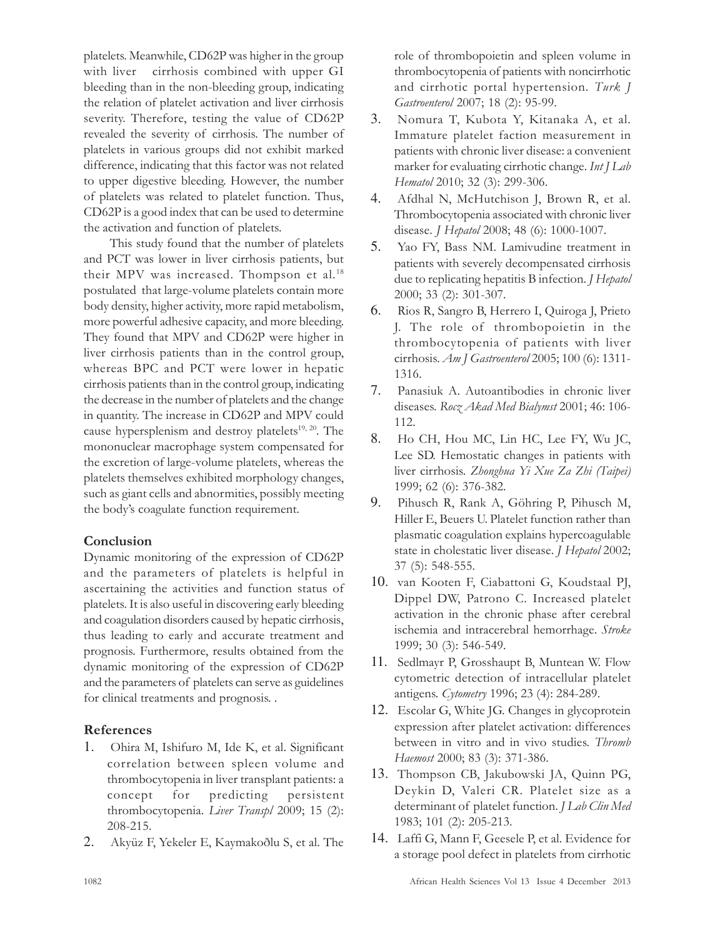platelets. Meanwhile, CD62P was higher in the group with liver cirrhosis combined with upper GI bleeding than in the non-bleeding group, indicating the relation of platelet activation and liver cirrhosis severity. Therefore, testing the value of CD62P revealed the severity of cirrhosis. The number of platelets in various groups did not exhibit marked difference, indicating that this factor was not related to upper digestive bleeding. However, the number of platelets was related to platelet function. Thus, CD62P is a good index that can be used to determine the activation and function of platelets.

This study found that the number of platelets and PCT was lower in liver cirrhosis patients, but their MPV was increased. Thompson et al.<sup>18</sup> postulated that large-volume platelets contain more body density, higher activity, more rapid metabolism, more powerful adhesive capacity, and more bleeding. They found that MPV and CD62P were higher in liver cirrhosis patients than in the control group, whereas BPC and PCT were lower in hepatic cirrhosis patients than in the control group, indicating the decrease in the number of platelets and the change in quantity. The increase in CD62P and MPV could cause hypersplenism and destroy platelets<sup>19, 20</sup>. The mononuclear macrophage system compensated for the excretion of large-volume platelets, whereas the platelets themselves exhibited morphology changes, such as giant cells and abnormities, possibly meeting the body's coagulate function requirement.

## Conclusion

Dynamic monitoring of the expression of CD62P and the parameters of platelets is helpful in ascertaining the activities and function status of platelets. It is also useful in discovering early bleeding and coagulation disorders caused by hepatic cirrhosis, thus leading to early and accurate treatment and prognosis. Furthermore, results obtained from the dynamic monitoring of the expression of CD62P and the parameters of platelets can serve as guidelines for clinical treatments and prognosis. .

# References

- 1. Ohira M, Ishifuro M, Ide K, et al. Significant correlation between spleen volume and thrombocytopenia in liver transplant patients: a concept for predicting persistent thrombocytopenia. Liver Transpl 2009; 15 (2): 208-215.
- 2. Akyüz F, Yekeler E, Kaymakoðlu S, et al. The

role of thrombopoietin and spleen volume in thrombocytopenia of patients with noncirrhotic and cirrhotic portal hypertension. Turk J Gastroenterol 2007; 18 (2): 95-99.

- 3. Nomura T, Kubota Y, Kitanaka A, et al. Immature platelet faction measurement in patients with chronic liver disease: a convenient marker for evaluating cirrhotic change. Int J Lab Hematol 2010; 32 (3): 299-306.
- 4. Afdhal N, McHutchison J, Brown R, et al. Thrombocytopenia associated with chronic liver disease. *J Hepatol* 2008; 48 (6): 1000-1007.
- 5. Yao FY, Bass NM. Lamivudine treatment in patients with severely decompensated cirrhosis due to replicating hepatitis B infection. *J Hepatol* 2000; 33 (2): 301-307.
- 6. Rios R, Sangro B, Herrero I, Quiroga J, Prieto J. The role of thrombopoietin in the thrombocytopenia of patients with liver cirrhosis. Am J Gastroenterol 2005; 100 (6): 1311- 1316.
- 7. Panasiuk A. Autoantibodies in chronic liver diseases. Rocz Akad Med Bialymst 2001; 46: 106-112.
- 8. Ho CH, Hou MC, Lin HC, Lee FY, Wu JC, Lee SD. Hemostatic changes in patients with liver cirrhosis. Zhonghua Yi Xue Za Zhi (Taipei) 1999; 62 (6): 376-382.
- 9. Pihusch R, Rank A, Göhring P, Pihusch M, Hiller E, Beuers U. Platelet function rather than plasmatic coagulation explains hypercoagulable state in cholestatic liver disease. *J Hepatol* 2002; 37 (5): 548-555.
- 10. van Kooten F, Ciabattoni G, Koudstaal PJ, Dippel DW, Patrono C. Increased platelet activation in the chronic phase after cerebral ischemia and intracerebral hemorrhage. Stroke 1999; 30 (3): 546-549.
- 11. Sedlmayr P, Grosshaupt B, Muntean W. Flow cytometric detection of intracellular platelet antigens. Cytometry 1996; 23 (4): 284-289.
- 12. Escolar G, White JG. Changes in glycoprotein expression after platelet activation: differences between in vitro and in vivo studies. Thromb Haemost 2000; 83 (3): 371-386.
- 13. Thompson CB, Jakubowski JA, Quinn PG, Deykin D, Valeri CR. Platelet size as a determinant of platelet function. *J Lab Clin Med* 1983; 101 (2): 205-213.
- 14. Laffi G, Mann F, Geesele P, et al. Evidence for a storage pool defect in platelets from cirrhotic